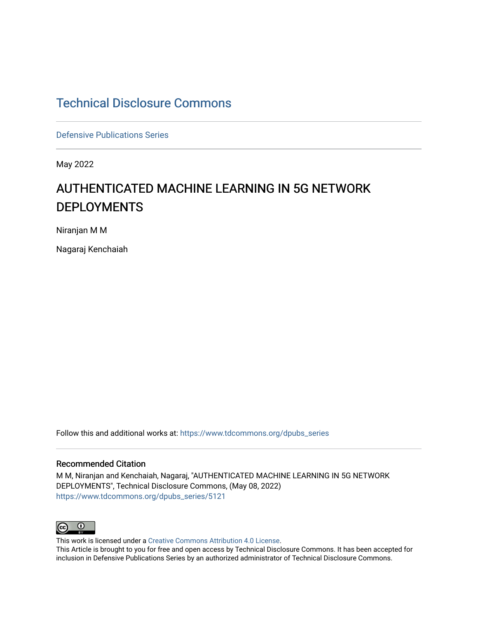# [Technical Disclosure Commons](https://www.tdcommons.org/)

[Defensive Publications Series](https://www.tdcommons.org/dpubs_series)

May 2022

# AUTHENTICATED MACHINE LEARNING IN 5G NETWORK DEPLOYMENTS

Niranjan M M

Nagaraj Kenchaiah

Follow this and additional works at: [https://www.tdcommons.org/dpubs\\_series](https://www.tdcommons.org/dpubs_series?utm_source=www.tdcommons.org%2Fdpubs_series%2F5121&utm_medium=PDF&utm_campaign=PDFCoverPages) 

#### Recommended Citation

M M, Niranjan and Kenchaiah, Nagaraj, "AUTHENTICATED MACHINE LEARNING IN 5G NETWORK DEPLOYMENTS", Technical Disclosure Commons, (May 08, 2022) [https://www.tdcommons.org/dpubs\\_series/5121](https://www.tdcommons.org/dpubs_series/5121?utm_source=www.tdcommons.org%2Fdpubs_series%2F5121&utm_medium=PDF&utm_campaign=PDFCoverPages)



This work is licensed under a [Creative Commons Attribution 4.0 License](http://creativecommons.org/licenses/by/4.0/deed.en_US). This Article is brought to you for free and open access by Technical Disclosure Commons. It has been accepted for inclusion in Defensive Publications Series by an authorized administrator of Technical Disclosure Commons.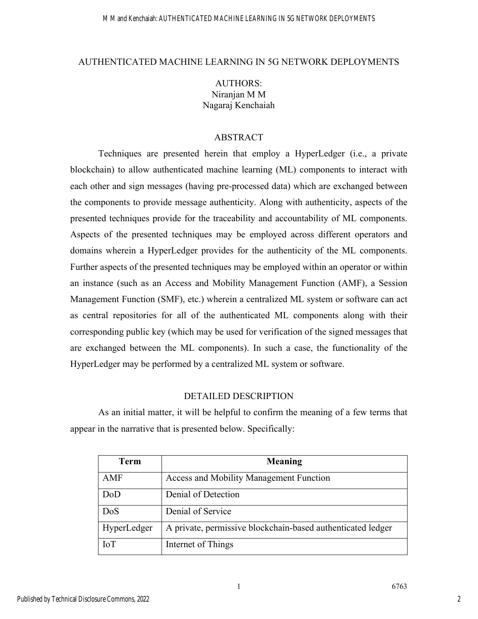#### AUTHENTICATED MACHINE LEARNING IN 5G NETWORK DEPLOYMENTS

# AUTHORS: Niranjan M M Nagaraj Kenchaiah

## ABSTRACT

Techniques are presented herein that employ a HyperLedger (i.e., a private blockchain) to allow authenticated machine learning (ML) components to interact with each other and sign messages (having pre-processed data) which are exchanged between the components to provide message authenticity. Along with authenticity, aspects of the presented techniques provide for the traceability and accountability of ML components. Aspects of the presented techniques may be employed across different operators and domains wherein a HyperLedger provides for the authenticity of the ML components. Further aspects of the presented techniques may be employed within an operator or within an instance (such as an Access and Mobility Management Function (AMF), a Session Management Function (SMF), etc.) wherein a centralized ML system or software can act as central repositories for all of the authenticated ML components along with their corresponding public key (which may be used for verification of the signed messages that are exchanged between the ML components). In such a case, the functionality of the HyperLedger may be performed by a centralized ML system or software.

### DETAILED DESCRIPTION

As an initial matter, it will be helpful to confirm the meaning of a few terms that appear in the narrative that is presented below. Specifically:

| Term        | Meaning                                                     |
|-------------|-------------------------------------------------------------|
| AMF         | <b>Access and Mobility Management Function</b>              |
| DoD         | Denial of Detection                                         |
| DoS         | Denial of Service                                           |
| HyperLedger | A private, permissive blockchain-based authenticated ledger |
| IoT         | Internet of Things                                          |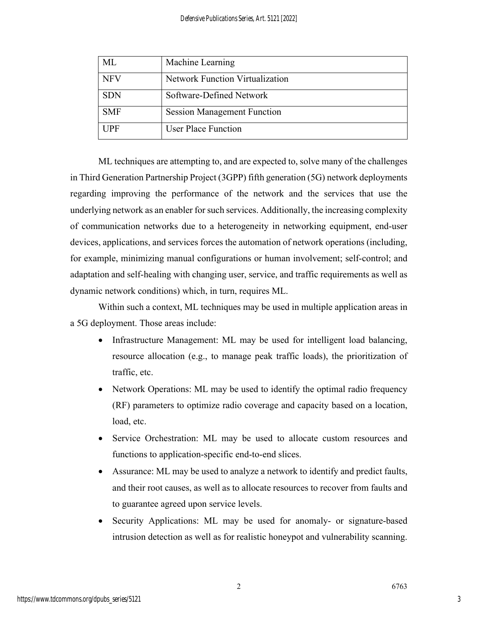| ML         | Machine Learning                   |
|------------|------------------------------------|
| <b>NFV</b> | Network Function Virtualization    |
| <b>SDN</b> | Software-Defined Network           |
| <b>SMF</b> | <b>Session Management Function</b> |
| <b>UPF</b> | <b>User Place Function</b>         |

ML techniques are attempting to, and are expected to, solve many of the challenges in Third Generation Partnership Project (3GPP) fifth generation (5G) network deployments regarding improving the performance of the network and the services that use the underlying network as an enabler for such services. Additionally, the increasing complexity of communication networks due to a heterogeneity in networking equipment, end-user devices, applications, and services forces the automation of network operations (including, for example, minimizing manual configurations or human involvement; self-control; and adaptation and self-healing with changing user, service, and traffic requirements as well as dynamic network conditions) which, in turn, requires ML.

Within such a context, ML techniques may be used in multiple application areas in a 5G deployment. Those areas include:

- Infrastructure Management: ML may be used for intelligent load balancing, resource allocation (e.g., to manage peak traffic loads), the prioritization of traffic, etc.
- Network Operations: ML may be used to identify the optimal radio frequency (RF) parameters to optimize radio coverage and capacity based on a location, load, etc.
- Service Orchestration: ML may be used to allocate custom resources and functions to application-specific end-to-end slices.
- Assurance: ML may be used to analyze a network to identify and predict faults, and their root causes, as well as to allocate resources to recover from faults and to guarantee agreed upon service levels.
- Security Applications: ML may be used for anomaly- or signature-based intrusion detection as well as for realistic honeypot and vulnerability scanning.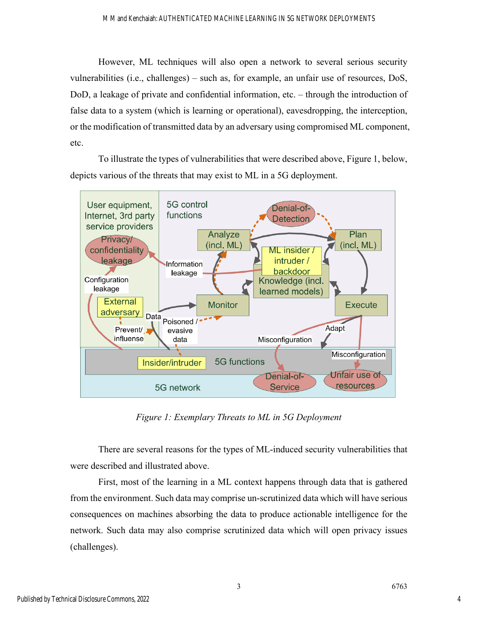However, ML techniques will also open a network to several serious security vulnerabilities (i.e., challenges) – such as, for example, an unfair use of resources, DoS, DoD, a leakage of private and confidential information, etc. – through the introduction of false data to a system (which is learning or operational), eavesdropping, the interception, or the modification of transmitted data by an adversary using compromised ML component, etc.

To illustrate the types of vulnerabilities that were described above, Figure 1, below, depicts various of the threats that may exist to ML in a 5G deployment.



*Figure 1: Exemplary Threats to ML in 5G Deployment* 

There are several reasons for the types of ML-induced security vulnerabilities that were described and illustrated above.

First, most of the learning in a ML context happens through data that is gathered from the environment. Such data may comprise un-scrutinized data which will have serious consequences on machines absorbing the data to produce actionable intelligence for the network. Such data may also comprise scrutinized data which will open privacy issues (challenges).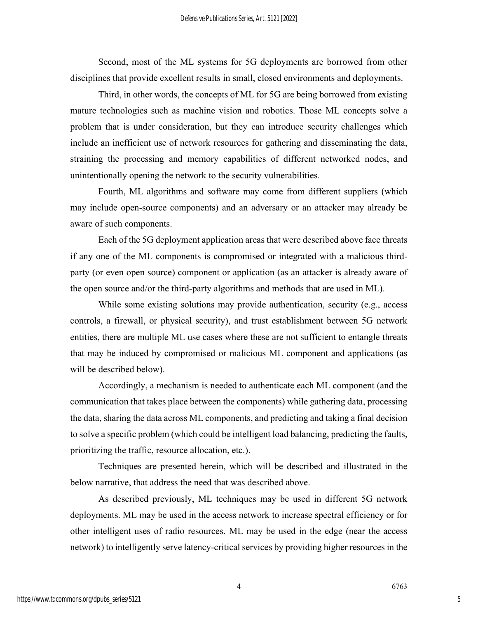Second, most of the ML systems for 5G deployments are borrowed from other disciplines that provide excellent results in small, closed environments and deployments.

Third, in other words, the concepts of ML for 5G are being borrowed from existing mature technologies such as machine vision and robotics. Those ML concepts solve a problem that is under consideration, but they can introduce security challenges which include an inefficient use of network resources for gathering and disseminating the data, straining the processing and memory capabilities of different networked nodes, and unintentionally opening the network to the security vulnerabilities.

Fourth, ML algorithms and software may come from different suppliers (which may include open-source components) and an adversary or an attacker may already be aware of such components.

Each of the 5G deployment application areas that were described above face threats if any one of the ML components is compromised or integrated with a malicious thirdparty (or even open source) component or application (as an attacker is already aware of the open source and/or the third-party algorithms and methods that are used in ML).

While some existing solutions may provide authentication, security (e.g., access controls, a firewall, or physical security), and trust establishment between 5G network entities, there are multiple ML use cases where these are not sufficient to entangle threats that may be induced by compromised or malicious ML component and applications (as will be described below).

Accordingly, a mechanism is needed to authenticate each ML component (and the communication that takes place between the components) while gathering data, processing the data, sharing the data across ML components, and predicting and taking a final decision to solve a specific problem (which could be intelligent load balancing, predicting the faults, prioritizing the traffic, resource allocation, etc.).

Techniques are presented herein, which will be described and illustrated in the below narrative, that address the need that was described above.

As described previously, ML techniques may be used in different 5G network deployments. ML may be used in the access network to increase spectral efficiency or for other intelligent uses of radio resources. ML may be used in the edge (near the access network) to intelligently serve latency-critical services by providing higher resources in the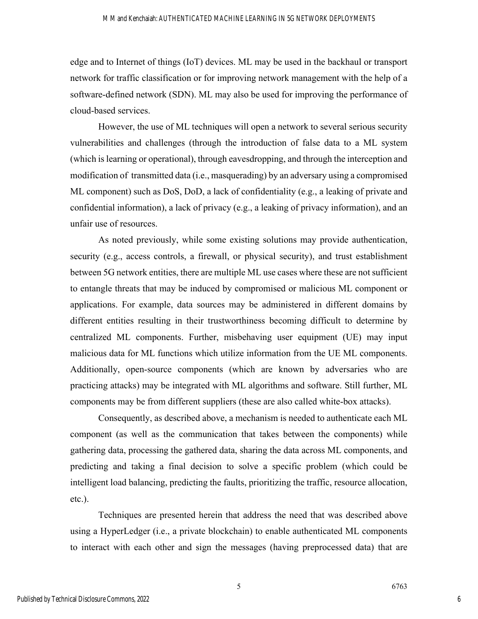edge and to Internet of things (IoT) devices. ML may be used in the backhaul or transport network for traffic classification or for improving network management with the help of a software-defined network (SDN). ML may also be used for improving the performance of cloud-based services.

However, the use of ML techniques will open a network to several serious security vulnerabilities and challenges (through the introduction of false data to a ML system (which is learning or operational), through eavesdropping, and through the interception and modification of transmitted data (i.e., masquerading) by an adversary using a compromised ML component) such as DoS, DoD, a lack of confidentiality (e.g., a leaking of private and confidential information), a lack of privacy (e.g., a leaking of privacy information), and an unfair use of resources.

As noted previously, while some existing solutions may provide authentication, security (e.g., access controls, a firewall, or physical security), and trust establishment between 5G network entities, there are multiple ML use cases where these are not sufficient to entangle threats that may be induced by compromised or malicious ML component or applications. For example, data sources may be administered in different domains by different entities resulting in their trustworthiness becoming difficult to determine by centralized ML components. Further, misbehaving user equipment (UE) may input malicious data for ML functions which utilize information from the UE ML components. Additionally, open-source components (which are known by adversaries who are practicing attacks) may be integrated with ML algorithms and software. Still further, ML components may be from different suppliers (these are also called white-box attacks).

Consequently, as described above, a mechanism is needed to authenticate each ML component (as well as the communication that takes between the components) while gathering data, processing the gathered data, sharing the data across ML components, and predicting and taking a final decision to solve a specific problem (which could be intelligent load balancing, predicting the faults, prioritizing the traffic, resource allocation, etc.).

Techniques are presented herein that address the need that was described above using a HyperLedger (i.e., a private blockchain) to enable authenticated ML components to interact with each other and sign the messages (having preprocessed data) that are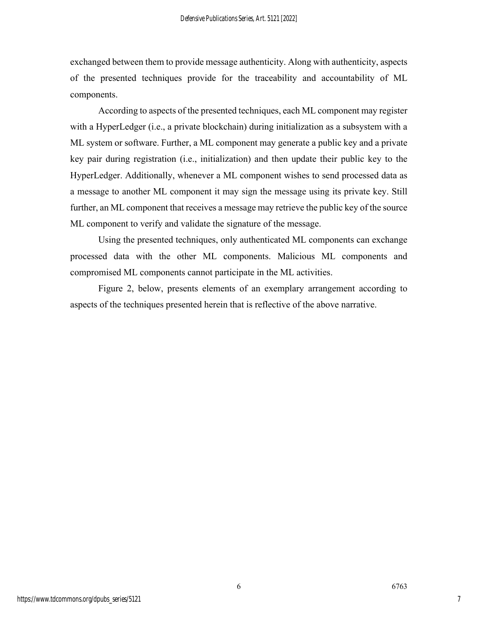exchanged between them to provide message authenticity. Along with authenticity, aspects of the presented techniques provide for the traceability and accountability of ML components.

According to aspects of the presented techniques, each ML component may register with a HyperLedger (i.e., a private blockchain) during initialization as a subsystem with a ML system or software. Further, a ML component may generate a public key and a private key pair during registration (i.e., initialization) and then update their public key to the HyperLedger. Additionally, whenever a ML component wishes to send processed data as a message to another ML component it may sign the message using its private key. Still further, an ML component that receives a message may retrieve the public key of the source ML component to verify and validate the signature of the message.

Using the presented techniques, only authenticated ML components can exchange processed data with the other ML components. Malicious ML components and compromised ML components cannot participate in the ML activities.

Figure 2, below, presents elements of an exemplary arrangement according to aspects of the techniques presented herein that is reflective of the above narrative.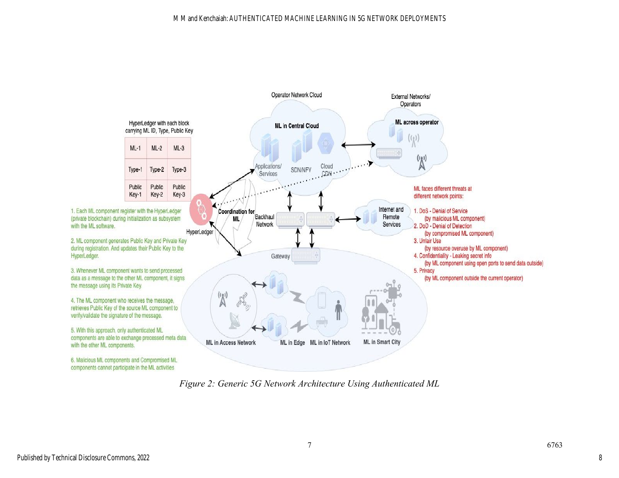

*Figure 2: Generic 5G Network Architecture Using Authenticated ML*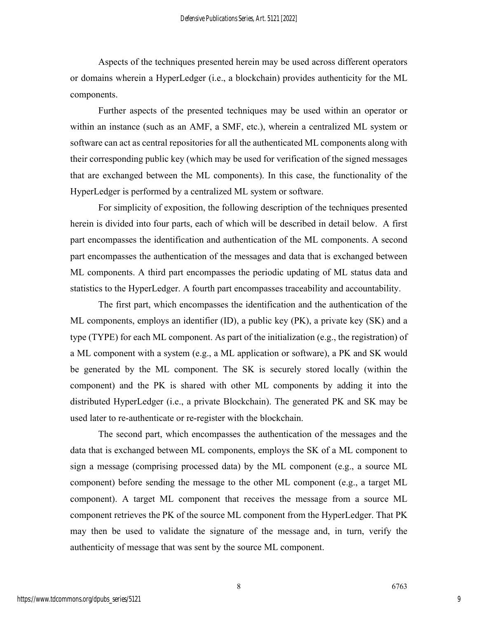Aspects of the techniques presented herein may be used across different operators or domains wherein a HyperLedger (i.e., a blockchain) provides authenticity for the ML components.

Further aspects of the presented techniques may be used within an operator or within an instance (such as an AMF, a SMF, etc.), wherein a centralized ML system or software can act as central repositories for all the authenticated ML components along with their corresponding public key (which may be used for verification of the signed messages that are exchanged between the ML components). In this case, the functionality of the HyperLedger is performed by a centralized ML system or software.

For simplicity of exposition, the following description of the techniques presented herein is divided into four parts, each of which will be described in detail below. A first part encompasses the identification and authentication of the ML components. A second part encompasses the authentication of the messages and data that is exchanged between ML components. A third part encompasses the periodic updating of ML status data and statistics to the HyperLedger. A fourth part encompasses traceability and accountability.

The first part, which encompasses the identification and the authentication of the ML components, employs an identifier (ID), a public key (PK), a private key (SK) and a type (TYPE) for each ML component. As part of the initialization (e.g., the registration) of a ML component with a system (e.g., a ML application or software), a PK and SK would be generated by the ML component. The SK is securely stored locally (within the component) and the PK is shared with other ML components by adding it into the distributed HyperLedger (i.e., a private Blockchain). The generated PK and SK may be used later to re-authenticate or re-register with the blockchain.

The second part, which encompasses the authentication of the messages and the data that is exchanged between ML components, employs the SK of a ML component to sign a message (comprising processed data) by the ML component (e.g., a source ML component) before sending the message to the other ML component (e.g., a target ML component). A target ML component that receives the message from a source ML component retrieves the PK of the source ML component from the HyperLedger. That PK may then be used to validate the signature of the message and, in turn, verify the authenticity of message that was sent by the source ML component.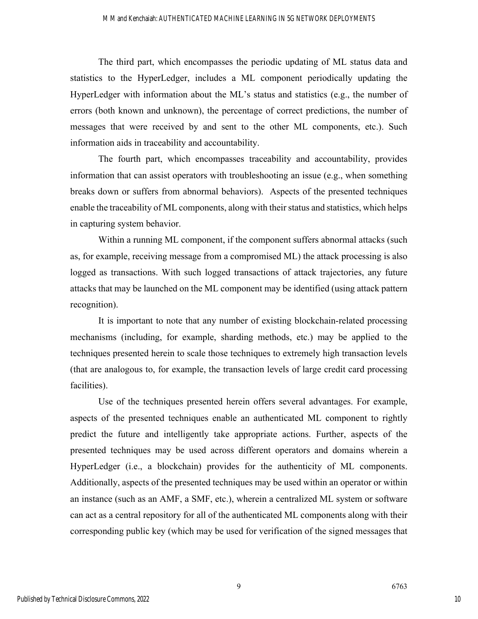The third part, which encompasses the periodic updating of ML status data and statistics to the HyperLedger, includes a ML component periodically updating the HyperLedger with information about the ML's status and statistics (e.g., the number of errors (both known and unknown), the percentage of correct predictions, the number of messages that were received by and sent to the other ML components, etc.). Such information aids in traceability and accountability.

The fourth part, which encompasses traceability and accountability, provides information that can assist operators with troubleshooting an issue (e.g., when something breaks down or suffers from abnormal behaviors). Aspects of the presented techniques enable the traceability of ML components, along with their status and statistics, which helps in capturing system behavior.

Within a running ML component, if the component suffers abnormal attacks (such as, for example, receiving message from a compromised ML) the attack processing is also logged as transactions. With such logged transactions of attack trajectories, any future attacks that may be launched on the ML component may be identified (using attack pattern recognition).

It is important to note that any number of existing blockchain-related processing mechanisms (including, for example, sharding methods, etc.) may be applied to the techniques presented herein to scale those techniques to extremely high transaction levels (that are analogous to, for example, the transaction levels of large credit card processing facilities).

Use of the techniques presented herein offers several advantages. For example, aspects of the presented techniques enable an authenticated ML component to rightly predict the future and intelligently take appropriate actions. Further, aspects of the presented techniques may be used across different operators and domains wherein a HyperLedger (i.e., a blockchain) provides for the authenticity of ML components. Additionally, aspects of the presented techniques may be used within an operator or within an instance (such as an AMF, a SMF, etc.), wherein a centralized ML system or software can act as a central repository for all of the authenticated ML components along with their corresponding public key (which may be used for verification of the signed messages that